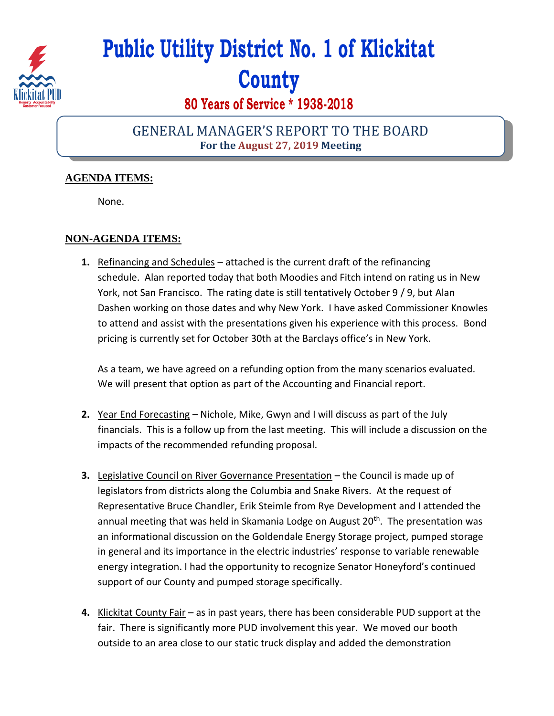

# **Public Utility District No. 1 of Klickitat County**

# **80 Years of Service \* 1938-2018**

## GENERAL MANAGER'S REPORT TO THE BOARD **For the August 27, 2019 Meeting**

### **AGENDA ITEMS:**

None.

#### **NON-AGENDA ITEMS:**

**1.** Refinancing and Schedules – attached is the current draft of the refinancing schedule. Alan reported today that both Moodies and Fitch intend on rating us in New York, not San Francisco. The rating date is still tentatively October 9 / 9, but Alan Dashen working on those dates and why New York. I have asked Commissioner Knowles to attend and assist with the presentations given his experience with this process. Bond pricing is currently set for October 30th at the Barclays office's in New York.

As a team, we have agreed on a refunding option from the many scenarios evaluated. We will present that option as part of the Accounting and Financial report.

- **2.** Year End Forecasting Nichole, Mike, Gwyn and I will discuss as part of the July financials. This is a follow up from the last meeting. This will include a discussion on the impacts of the recommended refunding proposal.
- **3.** Legislative Council on River Governance Presentation the Council is made up of legislators from districts along the Columbia and Snake Rivers. At the request of Representative Bruce Chandler, Erik Steimle from Rye Development and I attended the annual meeting that was held in Skamania Lodge on August 20<sup>th</sup>. The presentation was an informational discussion on the Goldendale Energy Storage project, pumped storage in general and its importance in the electric industries' response to variable renewable energy integration. I had the opportunity to recognize Senator Honeyford's continued support of our County and pumped storage specifically.
- **4.** Klickitat County Fair as in past years, there has been considerable PUD support at the fair. There is significantly more PUD involvement this year. We moved our booth outside to an area close to our static truck display and added the demonstration